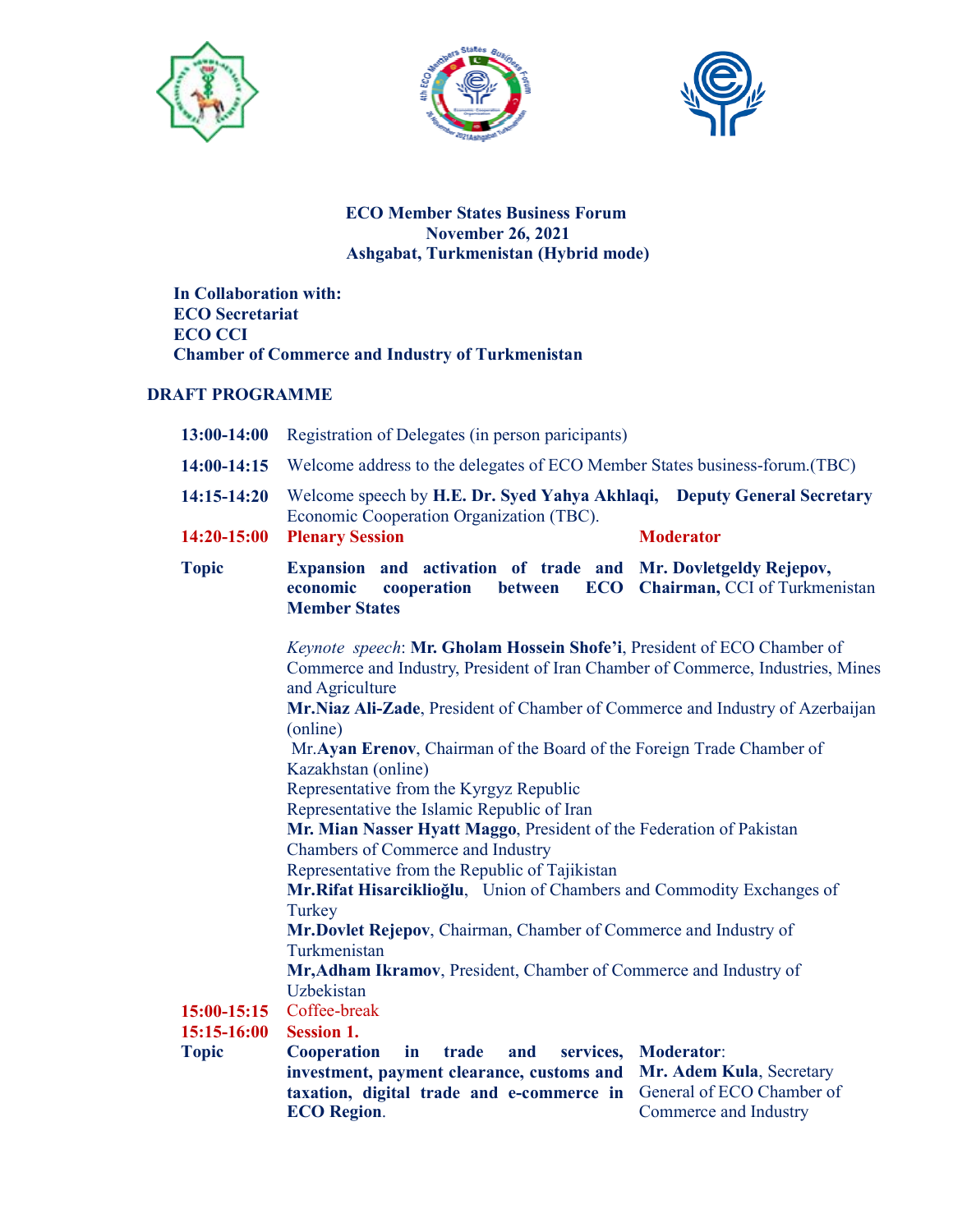





## **ECO Member States Business Forum November 26, 2021 Ashgabat, Turkmenistan (Hybrid mode)**

 **In Collaboration with: ECO Secretariat ECO CCI Chamber of Commerce and Industry of Turkmenistan** 

## **DRAFT PROGRAMME**

| $13:00-14:00$               | Registration of Delegates (in person paricipants)                                                                                                                                                                                                                                                                                                                                                                                                                                                                                                                                                                                                                                                                                                                                                                                                                                              |                                                                                                     |  |
|-----------------------------|------------------------------------------------------------------------------------------------------------------------------------------------------------------------------------------------------------------------------------------------------------------------------------------------------------------------------------------------------------------------------------------------------------------------------------------------------------------------------------------------------------------------------------------------------------------------------------------------------------------------------------------------------------------------------------------------------------------------------------------------------------------------------------------------------------------------------------------------------------------------------------------------|-----------------------------------------------------------------------------------------------------|--|
| $14:00-14:15$               | Welcome address to the delegates of ECO Member States business-forum. (TBC)                                                                                                                                                                                                                                                                                                                                                                                                                                                                                                                                                                                                                                                                                                                                                                                                                    |                                                                                                     |  |
| $14:15 - 14:20$             | Welcome speech by H.E. Dr. Syed Yahya Akhlaqi, Deputy General Secretary<br>Economic Cooperation Organization (TBC).<br><b>Plenary Session</b><br><b>Moderator</b>                                                                                                                                                                                                                                                                                                                                                                                                                                                                                                                                                                                                                                                                                                                              |                                                                                                     |  |
| 14:20-15:00                 |                                                                                                                                                                                                                                                                                                                                                                                                                                                                                                                                                                                                                                                                                                                                                                                                                                                                                                |                                                                                                     |  |
| <b>Topic</b>                | Expansion and activation of trade and Mr. Dovletgeldy Rejepov,<br>economic<br>cooperation<br><b>Member States</b>                                                                                                                                                                                                                                                                                                                                                                                                                                                                                                                                                                                                                                                                                                                                                                              | between ECO Chairman, CCI of Turkmenistan                                                           |  |
|                             | Keynote speech: Mr. Gholam Hossein Shofe'i, President of ECO Chamber of<br>Commerce and Industry, President of Iran Chamber of Commerce, Industries, Mines<br>and Agriculture<br>Mr.Niaz Ali-Zade, President of Chamber of Commerce and Industry of Azerbaijan<br>(online)<br>Mr. Ayan Erenov, Chairman of the Board of the Foreign Trade Chamber of<br>Kazakhstan (online)<br>Representative from the Kyrgyz Republic<br>Representative the Islamic Republic of Iran<br>Mr. Mian Nasser Hyatt Maggo, President of the Federation of Pakistan<br>Chambers of Commerce and Industry<br>Representative from the Republic of Tajikistan<br>Mr.Rifat Hisarciklioğlu, Union of Chambers and Commodity Exchanges of<br>Turkey<br>Mr.Dovlet Rejepov, Chairman, Chamber of Commerce and Industry of<br>Turkmenistan<br>Mr, Adham Ikramov, President, Chamber of Commerce and Industry of<br>Uzbekistan |                                                                                                     |  |
|                             |                                                                                                                                                                                                                                                                                                                                                                                                                                                                                                                                                                                                                                                                                                                                                                                                                                                                                                |                                                                                                     |  |
|                             |                                                                                                                                                                                                                                                                                                                                                                                                                                                                                                                                                                                                                                                                                                                                                                                                                                                                                                |                                                                                                     |  |
|                             |                                                                                                                                                                                                                                                                                                                                                                                                                                                                                                                                                                                                                                                                                                                                                                                                                                                                                                |                                                                                                     |  |
|                             |                                                                                                                                                                                                                                                                                                                                                                                                                                                                                                                                                                                                                                                                                                                                                                                                                                                                                                |                                                                                                     |  |
|                             |                                                                                                                                                                                                                                                                                                                                                                                                                                                                                                                                                                                                                                                                                                                                                                                                                                                                                                |                                                                                                     |  |
|                             |                                                                                                                                                                                                                                                                                                                                                                                                                                                                                                                                                                                                                                                                                                                                                                                                                                                                                                |                                                                                                     |  |
|                             |                                                                                                                                                                                                                                                                                                                                                                                                                                                                                                                                                                                                                                                                                                                                                                                                                                                                                                |                                                                                                     |  |
|                             |                                                                                                                                                                                                                                                                                                                                                                                                                                                                                                                                                                                                                                                                                                                                                                                                                                                                                                |                                                                                                     |  |
|                             |                                                                                                                                                                                                                                                                                                                                                                                                                                                                                                                                                                                                                                                                                                                                                                                                                                                                                                |                                                                                                     |  |
|                             |                                                                                                                                                                                                                                                                                                                                                                                                                                                                                                                                                                                                                                                                                                                                                                                                                                                                                                |                                                                                                     |  |
|                             |                                                                                                                                                                                                                                                                                                                                                                                                                                                                                                                                                                                                                                                                                                                                                                                                                                                                                                |                                                                                                     |  |
| $15:00-15:15$               | Coffee-break                                                                                                                                                                                                                                                                                                                                                                                                                                                                                                                                                                                                                                                                                                                                                                                                                                                                                   |                                                                                                     |  |
| 15:15-16:00<br><b>Topic</b> | <b>Session 1.</b><br><b>Cooperation</b><br>in<br>trade<br>and<br>services,<br>investment, payment clearance, customs and<br>taxation, digital trade and e-commerce in<br><b>ECO</b> Region.                                                                                                                                                                                                                                                                                                                                                                                                                                                                                                                                                                                                                                                                                                    | <b>Moderator:</b><br>Mr. Adem Kula, Secretary<br>General of ECO Chamber of<br>Commerce and Industry |  |